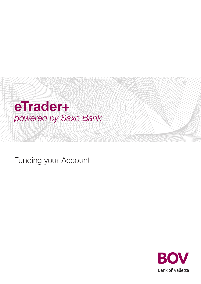

Funding your Account

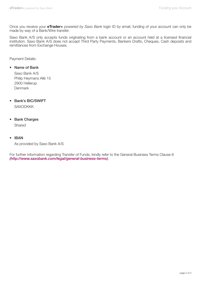Once you receive your **eTrader+** powered by Saxo Bank login ID by email, funding of your account can only be made by way of a Bank/Wire transfer.

Saxo Bank A/S only accepts funds originating from a bank account or an account held at a licensed financial institution. Saxo Bank A/S does not accept Third Party Payments, Bankers Drafts, Cheques, Cash deposits and remittances from Exchange Houses.

Payment Details:

## • Name of Bank

Saxo Bank A/S Philip Heymans Allé 15 2900 Hellerup Denmark

- Bank's BIC/SWIFT **SAXODKKK**
- Bank Charges Shared
- IBAN

As provided by Saxo Bank A/S

For further information regarding Transfer of Funds, kindly refer to the General Business Terms Clause 8 (http://www.saxobank.com/legal/general-business-terms).